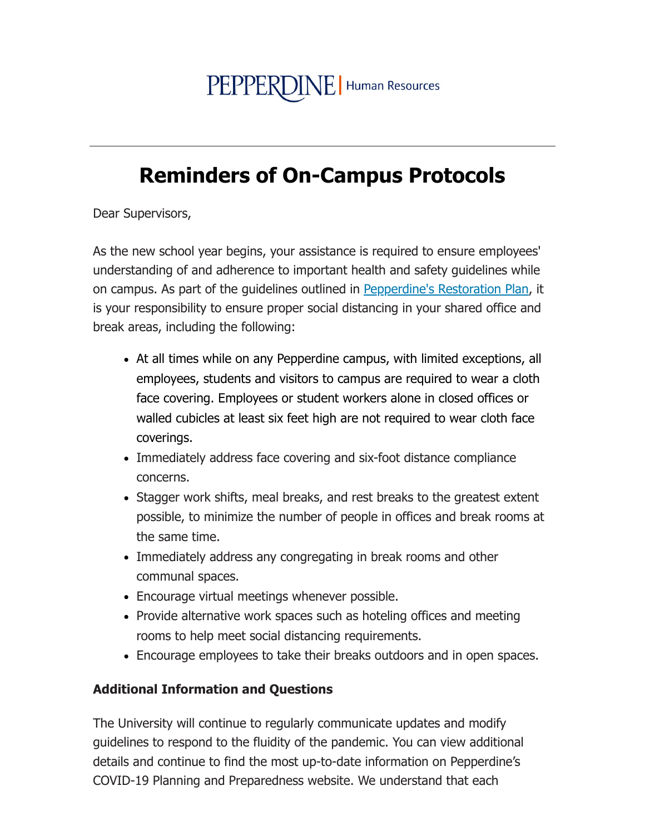## PEPPERDINE | Human Resources

## **Reminders of On-Campus Protocols**

Dear Supervisors,

As the new school year begins, your assistance is required to ensure employees' understanding of and adherence to important health and safety quidelines while on campus. As part of the guidelines outlined in Pepperdine's Restoration Plan, it is your responsibility to ensure proper social distancing in your shared office and break areas, including the following:

- At all times while on any Pepperdine campus, with limited exceptions, all employees, students and visitors to campus are required to wear a cloth face covering. Employees or student workers alone in closed offices or walled cubicles at least six feet high are not required to wear cloth face coverings.
- Immediately address face covering and six-foot distance compliance concerns.
- Stagger work shifts, meal breaks, and rest breaks to the greatest extent possible, to minimize the number of people in offices and break rooms at the same time.
- Immediately address any congregating in break rooms and other communal spaces.
- Encourage virtual meetings whenever possible.
- Provide alternative work spaces such as hoteling offices and meeting rooms to help meet social distancing requirements.
- Encourage employees to take their breaks outdoors and in open spaces.

## **Additional Information and Questions**

The University will continue to regularly communicate updates and modify guidelines to respond to the fluidity of the pandemic. You can view additional details and continue to find the most up-to-date information on Pepperdine's COVID-19 Planning and Preparedness website. We understand that each